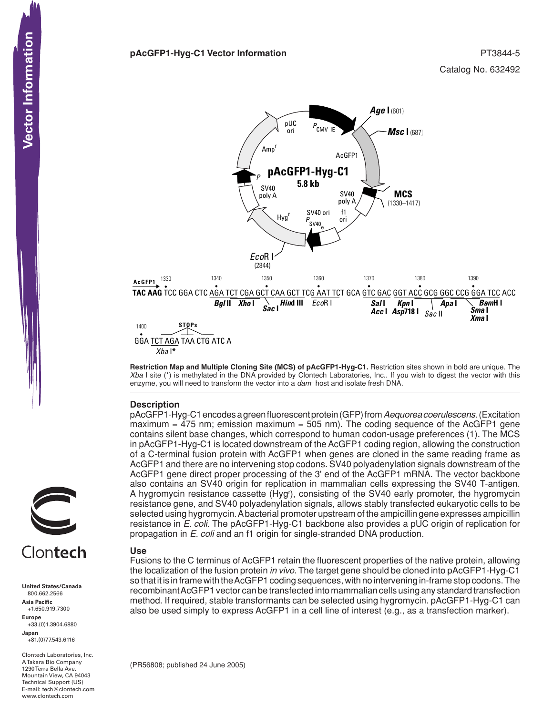#### **pAcGFP1-Hyg-C1 Vector Information PT3844-5**



**Restriction Map and Multiple Cloning Site (MCS) of pAcGFP1-Hyg-C1.** Restriction sites shown in bold are unique. The *Xba* I site (\*) is methylated in the DNA provided by Clontech Laboratories, Inc.. If you wish to digest the vector with this enzyme, you will need to transform the vector into a *dam–* host and isolate fresh DNA.

# **Description**

pAcGFP1-Hyg-C1 encodes a green fluorescent protein (GFP) from *Aequorea coerulescens*. (Excitation maximum  $=$  475 nm; emission maximum  $=$  505 nm). The coding sequence of the AcGFP1 gene contains silent base changes, which correspond to human codon-usage preferences (1). The MCS in pAcGFP1-Hyg-C1 is located downstream of the AcGFP1 coding region, allowing the construction of a C-terminal fusion protein with AcGFP1 when genes are cloned in the same reading frame as AcGFP1 and there are no intervening stop codons. SV40 polyadenylation signals downstream of the AcGFP1 gene direct proper processing of the 3' end of the AcGFP1 mRNA. The vector backbone also contains an SV40 origin for replication in mammalian cells expressing the SV40 T-antigen. A hygromycin resistance cassette (Hyg'), consisting of the SV40 early promoter, the hygromycin resistance gene, and SV40 polyadenylation signals, allows stably transfected eukaryotic cells to be selected using hygromycin. A bacterial promoter upstream of the ampicillin gene expresses ampicillin resistance in *E. coli*. The pAcGFP1-Hyg-C1 backbone also provides a pUC origin of replication for propagation in *E. coli* and an f1 origin for single-stranded DNA production.

# Clontech

**United States/Canada** 800.662.2566 **Asia Pacific** +1.650.919.7300 **Europe** +33.(0)1.3904.6880 **Japan** +81.(0)77.543.6116 **CONTEXT SOLUT SET AND SET AND SET AND SET AND SET AND SET AND SET AND SET AND SET AND SET AND SET AND SET AND SET AND SET AND SET AND SET AND SET AND SET AND SET AND SET AND SET AND SET AND SET AND SET AND SET AND SET AND** 

Clontech Laboratories, Inc. A Takara Bio Company 1290 Terra Bella Ave. Mountain View, CA 94043 Technical Support (US) E-mail: tech@clontech.com<br>www.clontech.com

# **Use**

Fusions to the C terminus of AcGFP1 retain the fluorescent properties of the native protein, allowing the localization of the fusion protein *in vivo*. The target gene should be cloned into pAcGFP1-Hyg-C1 so that it is in frame with the AcGFP1 coding sequences, with no intervening in-frame stop codons. The recombinant AcGFP1 vector can be transfected into mammalian cells using any standard transfection method. If required, stable transformants can be selected using hygromycin. pAcGFP1-Hyg-C1 can also be used simply to express AcGFP1 in a cell line of interest (e.g., as a transfection marker).

(PR56808; published 24 June 2005)